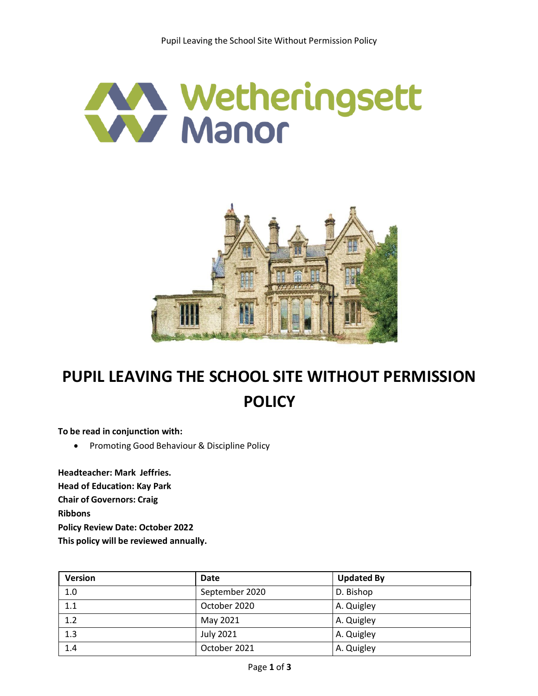



## **PUPIL LEAVING THE SCHOOL SITE WITHOUT PERMISSION POLICY**

**To be read in conjunction with:**

**•** Promoting Good Behaviour & Discipline Policy

**Headteacher: Mark Jeffries. Head of Education: Kay Park Chair of Governors: Craig Ribbons Policy Review Date: October 2022 This policy will be reviewed annually.**

| <b>Version</b> | Date             | <b>Updated By</b> |
|----------------|------------------|-------------------|
| 1.0            | September 2020   | D. Bishop         |
| 1.1            | October 2020     | A. Quigley        |
| 1.2            | May 2021         | A. Quigley        |
| 1.3            | <b>July 2021</b> | A. Quigley        |
| 1.4            | October 2021     | A. Quigley        |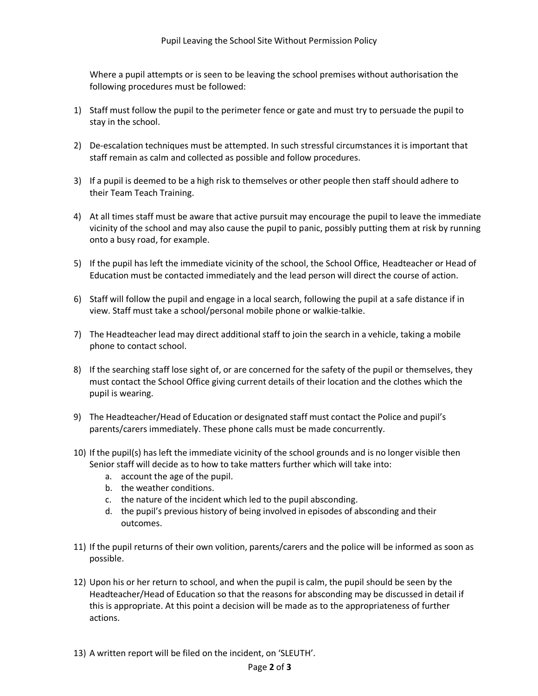Where a pupil attempts or is seen to be leaving the school premises without authorisation the following procedures must be followed:

- 1) Staff must follow the pupil to the perimeter fence or gate and must try to persuade the pupil to stay in the school.
- 2) De-escalation techniques must be attempted. In such stressful circumstances it is important that staff remain as calm and collected as possible and follow procedures.
- 3) If a pupil is deemed to be a high risk to themselves or other people then staff should adhere to their Team Teach Training.
- 4) At all times staff must be aware that active pursuit may encourage the pupil to leave the immediate vicinity of the school and may also cause the pupil to panic, possibly putting them at risk by running onto a busy road, for example.
- 5) If the pupil has left the immediate vicinity of the school, the School Office, Headteacher or Head of Education must be contacted immediately and the lead person will direct the course of action.
- 6) Staff will follow the pupil and engage in a local search, following the pupil at a safe distance if in view. Staff must take a school/personal mobile phone or walkie-talkie.
- 7) The Headteacher lead may direct additional staff to join the search in a vehicle, taking a mobile phone to contact school.
- 8) If the searching staff lose sight of, or are concerned for the safety of the pupil or themselves, they must contact the School Office giving current details of their location and the clothes which the pupil is wearing.
- 9) The Headteacher/Head of Education or designated staff must contact the Police and pupil's parents/carers immediately. These phone calls must be made concurrently.
- 10) If the pupil(s) hasleft the immediate vicinity of the school grounds and is no longer visible then Senior staff will decide as to how to take matters further which will take into:
	- a. account the age of the pupil.
	- b. the weather conditions.
	- c. the nature of the incident which led to the pupil absconding.
	- d. the pupil's previous history of being involved in episodes of absconding and their outcomes.
- 11) If the pupil returns of their own volition, parents/carers and the police will be informed as soon as possible.
- 12) Upon his or her return to school, and when the pupil is calm, the pupil should be seen by the Headteacher/Head of Education so that the reasons for absconding may be discussed in detail if this is appropriate. At this point a decision will be made as to the appropriateness of further actions.
- 13) A written report will be filed on the incident, on 'SLEUTH'.